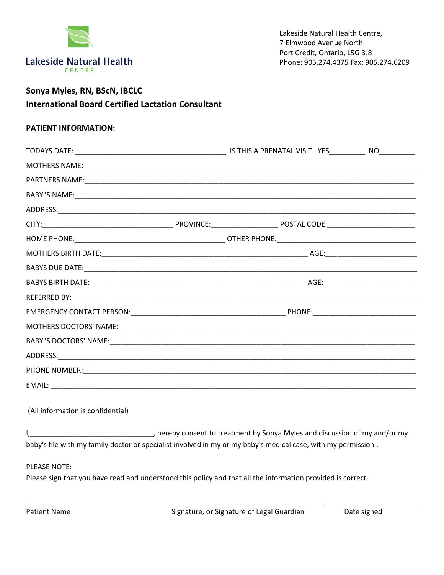

## **Sonya Myles, RN, BScN, IBCLC International Board Certified Lactation Consultant**

## **PATIENT INFORMATION:**

| (All information is confidential)                                                                             |  |  |  |  |
|---------------------------------------------------------------------------------------------------------------|--|--|--|--|
| baby's file with my family doctor or specialist involved in my or my baby's medical case, with my permission. |  |  |  |  |
|                                                                                                               |  |  |  |  |
| <b>PLEASE NOTE:</b>                                                                                           |  |  |  |  |
| Please sign that you have read and understood this policy and that all the information provided is correct.   |  |  |  |  |

Patient Name **Signature**, or Signature of Legal Guardian Date signed